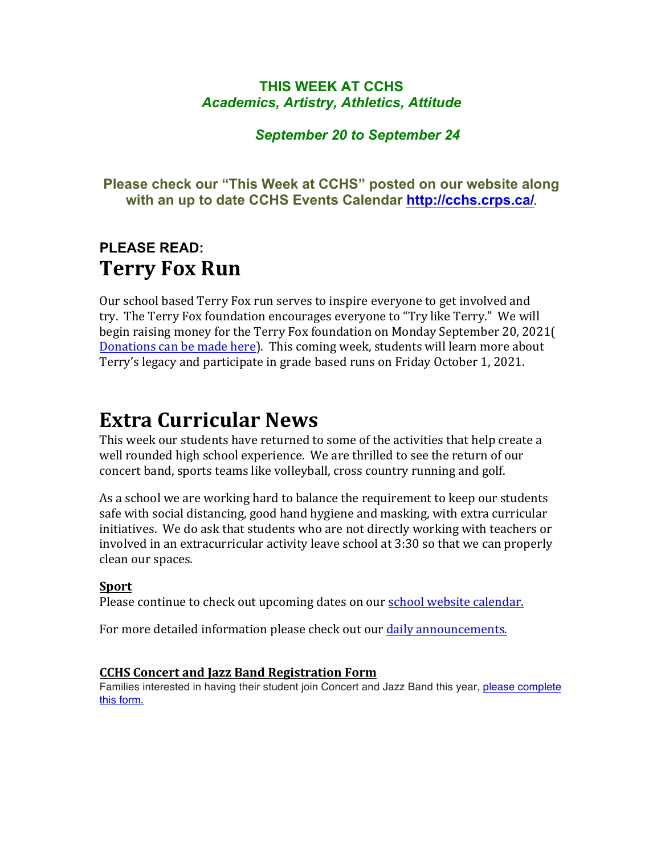#### **THIS WEEK AT CCHS** *Academics, Artistry, Athletics, Attitude*

#### *September 20 to September 24*

#### **Please check our "This Week at CCHS" posted on our website along with an up to date CCHS Events Calendar<http://cchs.crps.ca/>**.

### **PLEASE READ: Terry Fox Run**

Our school based Terry Fox run serves to inspire everyone to get involved and try. The Terry Fox foundation encourages everyone to "Try like Terry." We will begin raising money for the Terry Fox foundation on Monday September 20, 2021( Donations can be made here). This coming week, students will learn more about Terry's legacy and participate in grade based runs on Friday October 1, 2021.

### **Extra Curricular News**

This week our students have returned to some of the activities that help create a well rounded high school experience. We are thrilled to see the return of our concert band, sports teams like volleyball, cross country running and golf.

As a school we are working hard to balance the requirement to keep our students safe with social distancing, good hand hygiene and masking, with extra curricular initiatives. We do ask that students who are not directly working with teachers or involved in an extracurricular activity leave school at 3:30 so that we can properly clean our spaces.

#### **Sport**

Please continue to check out upcoming dates on our school website calendar.

For more detailed information please check out our daily announcements.

#### **CCHS Concert and Jazz Band Registration Form**

Families interested in having their student join Concert and Jazz Band this year, [please complete](https://forms.gle/jrZ4NQTyoUivHPaVA) [this form.](https://forms.gle/jrZ4NQTyoUivHPaVA)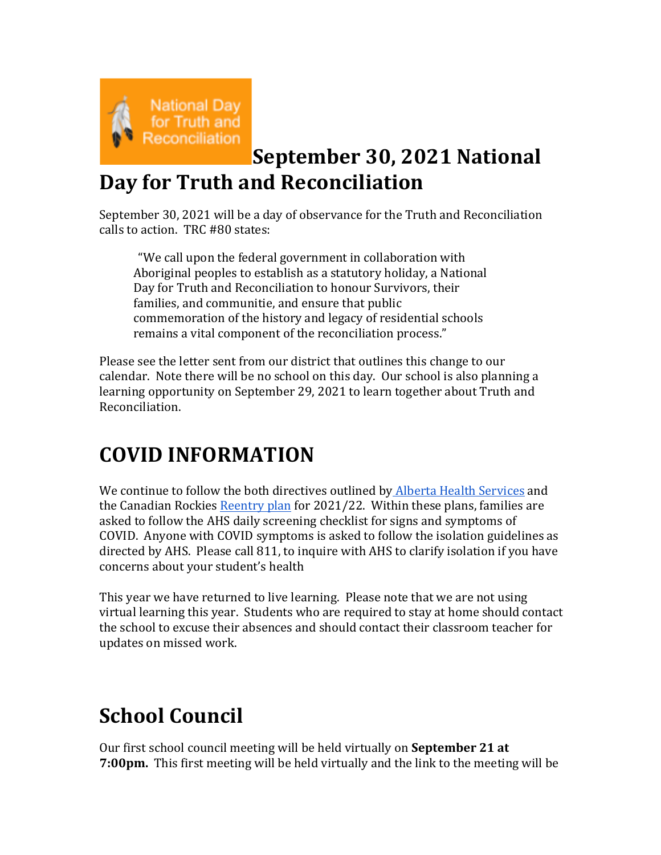

## **September 30, 2021 National Day for Truth and Reconciliation**

September 30, 2021 will be a day of observance for the Truth and Reconciliation calls to action. TRC #80 states:

"We call upon the federal government in collaboration with Aboriginal peoples to establish as a statutory holiday, a National Day for Truth and Reconciliation to honour Survivors, their families, and communitie, and ensure that public commemoration of the history and legacy of residential schools remains a vital component of the reconciliation process."

Please see the letter sent from our district that outlines this change to our calendar. Note there will be no school on this day. Our school is also planning a learning opportunity on September 29, 2021 to learn together about Truth and Reconciliation.

## **COVID INFORMATION**

We continue to follow the both directives outlined by Alberta Health Services and the Canadian Rockies Reentry plan for  $2021/22$ . Within these plans, families are asked to follow the AHS daily screening checklist for signs and symptoms of COVID. Anyone with COVID symptoms is asked to follow the isolation guidelines as directed by AHS. Please call 811, to inquire with AHS to clarify isolation if you have concerns about your student's health

This year we have returned to live learning. Please note that we are not using virtual learning this year. Students who are required to stay at home should contact the school to excuse their absences and should contact their classroom teacher for updates on missed work.

# **School Council**

Our first school council meeting will be held virtually on **September 21 at 7:00pm.** This first meeting will be held virtually and the link to the meeting will be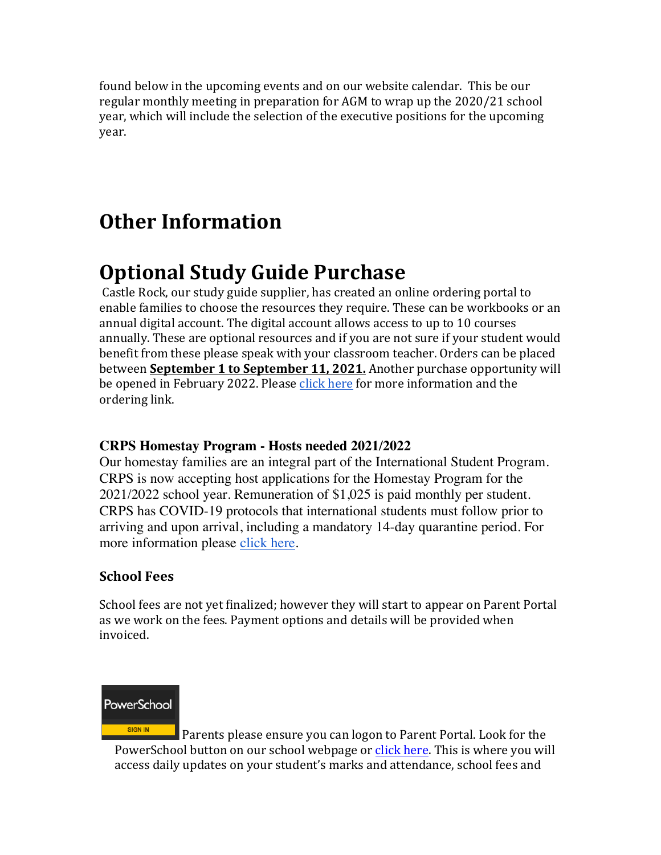found below in the upcoming events and on our website calendar. This be our regular monthly meeting in preparation for AGM to wrap up the 2020/21 school year, which will include the selection of the executive positions for the upcoming year.

### **Other Information**

### **Optional Study Guide Purchase**

Castle Rock, our study guide supplier, has created an online ordering portal to enable families to choose the resources they require. These can be workbooks or an annual digital account. The digital account allows access to up to 10 courses annually. These are optional resources and if you are not sure if your student would benefit from these please speak with your classroom teacher. Orders can be placed between **September 1 to September 11, 2021.** Another purchase opportunity will be opened in February 2022. Please click here for more information and the ordering link.

#### **CRPS Homestay Program - Hosts needed 2021/2022**

Our homestay families are an integral part of the International Student Program. CRPS is now accepting host applications for the Homestay Program for the 2021/2022 school year. Remuneration of \$1,025 is paid monthly per student. CRPS has COVID-19 protocols that international students must follow prior to arriving and upon arrival, including a mandatory 14-day quarantine period. For more information please [click here](https://crps.ca/Homestay Program.php).

#### **School Fees**

School fees are not yet finalized; however they will start to appear on Parent Portal as we work on the fees. Payment options and details will be provided when invoiced.



Parents please ensure you can logon to Parent Portal. Look for the PowerSchool button on our school webpage or click here. This is where you will access daily updates on your student's marks and attendance, school fees and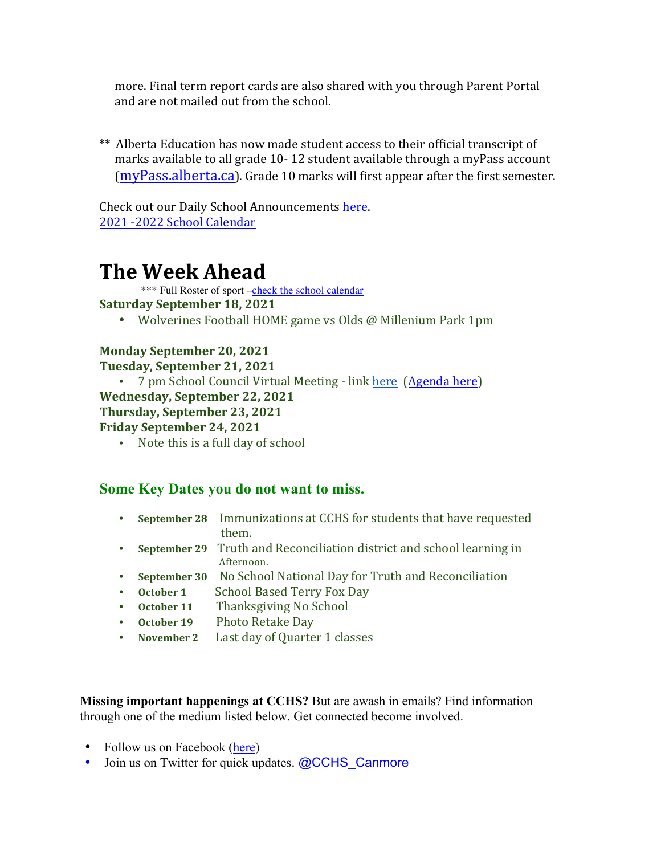more. Final term report cards are also shared with you through Parent Portal and are not mailed out from the school.

\*\* Alberta Education has now made student access to their official transcript of marks available to all grade 10-12 student available through a myPass account  $(mvPass.alberta.ca)$ . Grade 10 marks will first appear after the first semester.

Check out our Daily School Announcements here. 2021 -2022 School Calendar

### **The Week Ahead**

\*\*\* Full Roster of sport [–check the school calendar](https://cchs.crps.ca/calendar)

#### **Saturday September 18, 2021**

• Wolverines Football HOME game vs Olds @ Millenium Park 1pm

#### **Monday September 20, 2021**

**Tuesday, September 21, 2021**

• 7 pm School Council Virtual Meeting - link here (Agenda here)

#### **Wednesday, September 22, 2021**

#### **Thursday, September 23, 2021**

#### **Friday September 24, 2021**

• Note this is a full day of school

#### **Some Key Dates you do not want to miss.**

- **September 28** Immunizations at CCHS for students that have requested them.
- **September 29** Truth and Reconciliation district and school learning in Afternoon.
- **September 30** No School National Day for Truth and Reconciliation
- October 1 School Based Terry Fox Day
- October 11 Thanksgiving No School
- October 19 Photo Retake Day
- November 2 Last day of Quarter 1 classes

**Missing important happenings at CCHS?** But are awash in emails? Find information through one of the medium listed below. Get connected become involved.

- Follow us on Facebook ([here](https://www.facebook.com/cchscanmore/))
- Join us on Twitter for quick updates. [@CCHS\\_Canmore](https://twitter.com/CCHS_Canmore)